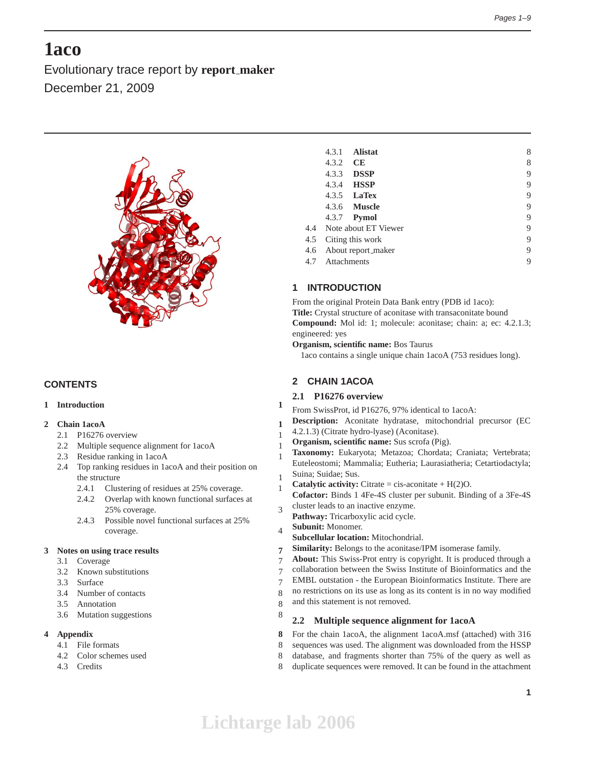# **1aco**

Evolutionary trace report by **report maker** December 21, 2009



# **CONTENTS**

# **1 Introduction 1**

## **2 Chain 1acoA 1**

- 2.1 P16276 overview 1
- 2.2 Multiple sequence alignment for 1acoA 1
- 2.3 Residue ranking in 1acoA 1
- 2.4 Top ranking residues in 1acoA and their position on the structure 1
	- 2.4.1 Clustering of residues at 25% coverage. 1
	- 2.4.2 Overlap with known functional surfaces at 25% coverage. 3
	- 2.4.3 Possible novel functional surfaces at 25% coverage. 4

#### **3 Notes on using trace results 7**

- 3.1 Coverage 7
- 3.2 Known substitutions 7
- 3.3 Surface 7
- 3.4 Number of contacts 8
- 3.5 Annotation 8
- 3.6 Mutation suggestions 8

## **4 Appendix 8**

- 4.1 File formats 8
- 4.2 Color schemes used 8
- 4.3 Credits 8

|     | 4.3.1           | <b>Alistat</b>           | 8 |
|-----|-----------------|--------------------------|---|
|     | 4.3.2           | <b>CE</b>                | 8 |
|     | 4.3.3           | <b>DSSP</b>              | 9 |
|     | 4.3.4           | <b>HSSP</b>              | 9 |
|     |                 | 4.3.5 <b>LaTex</b>       | 9 |
|     |                 | 4.3.6 <b>Muscle</b>      | 9 |
|     |                 | 4.3.7 <b>Pymol</b>       | 9 |
|     |                 | 4.4 Note about ET Viewer | 9 |
| 4.5 |                 | Citing this work         | 9 |
| 4.6 |                 | About report_maker       | 9 |
|     | 4.7 Attachments |                          | 9 |
|     |                 |                          |   |

# **1 INTRODUCTION**

From the original Protein Data Bank entry (PDB id 1aco): **Title:** Crystal structure of aconitase with transaconitate bound **Compound:** Mol id: 1; molecule: aconitase; chain: a; ec: 4.2.1.3; engineered: yes

**Organism, scientific name:** Bos Taurus

1aco contains a single unique chain 1acoA (753 residues long).

# **2 CHAIN 1ACOA**

# **2.1 P16276 overview**

- From SwissProt, id P16276, 97% identical to 1acoA:
- **Description:** Aconitate hydratase, mitochondrial precursor (EC
- 4.2.1.3) (Citrate hydro-lyase) (Aconitase).
- **Organism, scientific name:** Sus scrofa (Pig).
- **Taxonomy:** Eukaryota; Metazoa; Chordata; Craniata; Vertebrata; Euteleostomi; Mammalia; Eutheria; Laurasiatheria; Cetartiodactyla; Suina; Suidae; Sus.
- **Catalytic activity:** Citrate = cis-aconitate  $+ H(2)O$ .
- **Cofactor:** Binds 1 4Fe-4S cluster per subunit. Binding of a 3Fe-4S cluster leads to an inactive enzyme.
- **Pathway:** Tricarboxylic acid cycle.
- **Subunit:** Monomer.
	- **Subcellular location:** Mitochondrial.
	- **Similarity:** Belongs to the aconitase/IPM isomerase family.
- **About:** This Swiss-Prot entry is copyright. It is produced through a
	- collaboration between the Swiss Institute of Bioinformatics and the
- EMBL outstation the European Bioinformatics Institute. There are
- no restrictions on its use as long as its content is in no way modified and this statement is not removed.

# **2.2 Multiple sequence alignment for 1acoA**

- For the chain 1acoA, the alignment 1acoA.msf (attached) with 316
- sequences was used. The alignment was downloaded from the HSSP database, and fragments shorter than 75% of the query as well as
- duplicate sequences were removed. It can be found in the attachment
	-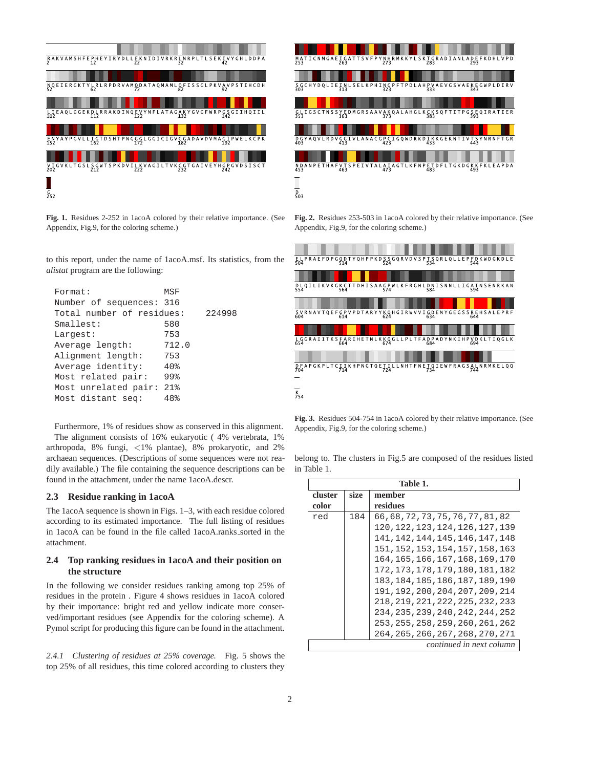

**Fig. 1.** Residues 2-252 in 1acoA colored by their relative importance. (See Appendix, Fig.9, for the coloring scheme.)

to this report, under the name of 1acoA.msf. Its statistics, from the *alistat* program are the following:

| Format:                   | MSF             |        |
|---------------------------|-----------------|--------|
| Number of sequences: 316  |                 |        |
| Total number of residues: |                 | 224998 |
| Smallest:                 | 580             |        |
| Largest:                  | 753             |        |
| Average length:           | 712.0           |        |
| Alignment length:         | 753             |        |
| Average identity:         | 40%             |        |
| Most related pair:        | 99%             |        |
| Most unrelated pair:      | 21 <sub>8</sub> |        |
| Most distant seq:         | 48%             |        |
|                           |                 |        |

Furthermore, 1% of residues show as conserved in this alignment. The alignment consists of 16% eukaryotic ( 4% vertebrata, 1% arthropoda, 8% fungi, <1% plantae), 8% prokaryotic, and 2% archaean sequences. (Descriptions of some sequences were not readily available.) The file containing the sequence descriptions can be found in the attachment, under the name 1acoA.descr.

### **2.3 Residue ranking in 1acoA**

The 1acoA sequence is shown in Figs. 1–3, with each residue colored according to its estimated importance. The full listing of residues in 1acoA can be found in the file called 1acoA.ranks sorted in the attachment.

#### **2.4 Top ranking residues in 1acoA and their position on the structure**

In the following we consider residues ranking among top 25% of residues in the protein . Figure 4 shows residues in 1acoA colored by their importance: bright red and yellow indicate more conserved/important residues (see Appendix for the coloring scheme). A Pymol script for producing this figure can be found in the attachment.

*2.4.1 Clustering of residues at 25% coverage.* Fig. 5 shows the top 25% of all residues, this time colored according to clusters they



**Fig. 2.** Residues 253-503 in 1acoA colored by their relative importance. (See Appendix, Fig.9, for the coloring scheme.)



**Fig. 3.** Residues 504-754 in 1acoA colored by their relative importance. (See Appendix, Fig.9, for the coloring scheme.)

belong to. The clusters in Fig.5 are composed of the residues listed in Table 1.

|                          | Table 1. |                                   |  |  |  |  |  |
|--------------------------|----------|-----------------------------------|--|--|--|--|--|
| cluster                  | size     | member                            |  |  |  |  |  |
| color                    |          | residues                          |  |  |  |  |  |
| red                      | 184      | 66,68,72,73,75,76,77,81,82        |  |  |  |  |  |
|                          |          | 120, 122, 123, 124, 126, 127, 139 |  |  |  |  |  |
|                          |          | 141, 142, 144, 145, 146, 147, 148 |  |  |  |  |  |
|                          |          | 151, 152, 153, 154, 157, 158, 163 |  |  |  |  |  |
|                          |          | 164, 165, 166, 167, 168, 169, 170 |  |  |  |  |  |
|                          |          | 172.173.178.179.180.181.182       |  |  |  |  |  |
|                          |          | 183, 184, 185, 186, 187, 189, 190 |  |  |  |  |  |
|                          |          | 191,192,200,204,207,209,214       |  |  |  |  |  |
|                          |          | 218, 219, 221, 222, 225, 232, 233 |  |  |  |  |  |
|                          |          | 234, 235, 239, 240, 242, 244, 252 |  |  |  |  |  |
|                          |          | 253, 255, 258, 259, 260, 261, 262 |  |  |  |  |  |
|                          |          | 264, 265, 266, 267, 268, 270, 271 |  |  |  |  |  |
| continued in next column |          |                                   |  |  |  |  |  |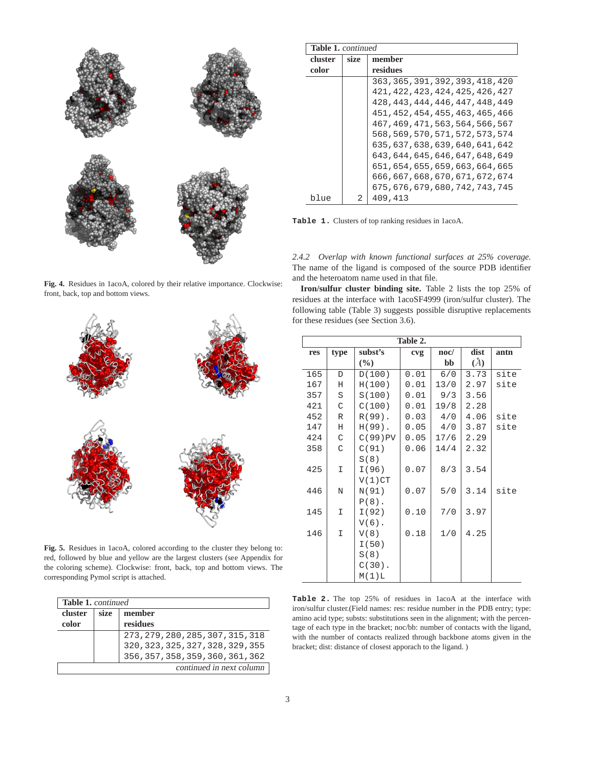

**Fig. 4.** Residues in 1acoA, colored by their relative importance. Clockwise: front, back, top and bottom views.



**Fig. 5.** Residues in 1acoA, colored according to the cluster they belong to: red, followed by blue and yellow are the largest clusters (see Appendix for the coloring scheme). Clockwise: front, back, top and bottom views. The corresponding Pymol script is attached.

| <b>Table 1.</b> continued |                          |                                                                        |  |  |  |  |  |
|---------------------------|--------------------------|------------------------------------------------------------------------|--|--|--|--|--|
| cluster                   | size.                    | member                                                                 |  |  |  |  |  |
| color                     |                          | residues                                                               |  |  |  |  |  |
|                           |                          |                                                                        |  |  |  |  |  |
|                           |                          | 273, 279, 280, 285, 307, 315, 318<br>320, 323, 325, 327, 328, 329, 355 |  |  |  |  |  |
|                           |                          | 356, 357, 358, 359, 360, 361, 362                                      |  |  |  |  |  |
|                           | continued in next column |                                                                        |  |  |  |  |  |

|         | <b>Table 1.</b> continued |                                   |  |  |  |  |  |
|---------|---------------------------|-----------------------------------|--|--|--|--|--|
| cluster | size                      | member                            |  |  |  |  |  |
| color   |                           | residues                          |  |  |  |  |  |
|         |                           | 363, 365, 391, 392, 393, 418, 420 |  |  |  |  |  |
|         |                           | 421, 422, 423, 424, 425, 426, 427 |  |  |  |  |  |
|         |                           | 428, 443, 444, 446, 447, 448, 449 |  |  |  |  |  |
|         |                           | 451, 452, 454, 455, 463, 465, 466 |  |  |  |  |  |
|         |                           | 467, 469, 471, 563, 564, 566, 567 |  |  |  |  |  |
|         |                           | 568, 569, 570, 571, 572, 573, 574 |  |  |  |  |  |
|         |                           | 635, 637, 638, 639, 640, 641, 642 |  |  |  |  |  |
|         |                           | 643, 644, 645, 646, 647, 648, 649 |  |  |  |  |  |
|         |                           | 651,654,655,659,663,664,665       |  |  |  |  |  |
|         |                           | 666, 667, 668, 670, 671, 672, 674 |  |  |  |  |  |
|         |                           | 675, 676, 679, 680, 742, 743, 745 |  |  |  |  |  |
| blue    | 2                         | 409,413                           |  |  |  |  |  |

**Table 1.** Clusters of top ranking residues in 1acoA.

*2.4.2 Overlap with known functional surfaces at 25% coverage.* The name of the ligand is composed of the source PDB identifier and the heteroatom name used in that file.

**Iron/sulfur cluster binding site.** Table 2 lists the top 25% of residues at the interface with 1acoSF4999 (iron/sulfur cluster). The following table (Table 3) suggests possible disruptive replacements for these residues (see Section 3.6).

| Table 2. |         |               |      |                 |               |      |  |
|----------|---------|---------------|------|-----------------|---------------|------|--|
| res      | type    | subst's       | cvg  | $\mathbf{noc}/$ | dist          | antn |  |
|          |         | $\frac{6}{6}$ |      | bb              | $\mathcal{A}$ |      |  |
| 165      | D       | D(100)        | 0.01 | 6/0             | 3.73          | site |  |
| 167      | Н       | H(100)        | 0.01 | 13/0            | 2.97          | site |  |
| 357      | $\rm S$ | S(100)        | 0.01 | 9/3             | 3.56          |      |  |
| 421      | C       | C(100)        | 0.01 | 19/8            | 2.28          |      |  |
| 452      | R       | $R(99)$ .     | 0.03 | 4/0             | 4.06          | site |  |
| 147      | Η       | $H(99)$ .     | 0.05 | 4/0             | 3.87          | site |  |
| 424      | C       | $C(99)$ PV    | 0.05 | 17/6            | 2.29          |      |  |
| 358      | C       | C(91)         | 0.06 | 14/4            | 2.32          |      |  |
|          |         | S(8)          |      |                 |               |      |  |
| 425      | I       | I(96)         | 0.07 | 8/3             | 3.54          |      |  |
|          |         | V(1)CT        |      |                 |               |      |  |
| 446      | N       | N(91)         | 0.07 | 5/0             | 3.14          | site |  |
|          |         | $P(8)$ .      |      |                 |               |      |  |
| 145      | I       | I(92)         | 0.10 | 7/0             | 3.97          |      |  |
|          |         | $V(6)$ .      |      |                 |               |      |  |
| 146      | I       | V(8)          | 0.18 | 1/0             | 4.25          |      |  |
|          |         | I(50)         |      |                 |               |      |  |
|          |         | S(8)          |      |                 |               |      |  |
|          |         | $C(30)$ .     |      |                 |               |      |  |
|          |         | $M(1)$ L      |      |                 |               |      |  |

**Table 2.** The top 25% of residues in 1acoA at the interface with iron/sulfur cluster.(Field names: res: residue number in the PDB entry; type: amino acid type; substs: substitutions seen in the alignment; with the percentage of each type in the bracket; noc/bb: number of contacts with the ligand, with the number of contacts realized through backbone atoms given in the bracket; dist: distance of closest apporach to the ligand. )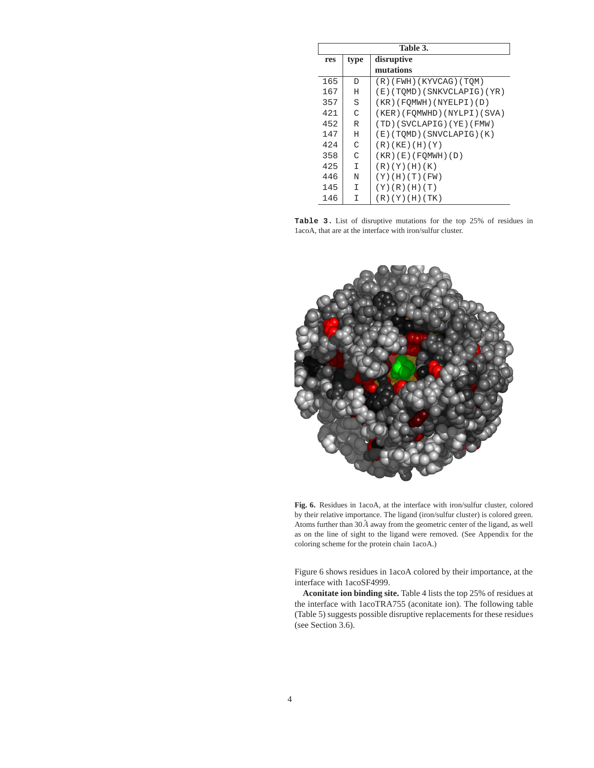|     | Table 3.           |                             |  |  |  |  |
|-----|--------------------|-----------------------------|--|--|--|--|
| res | disruptive<br>type |                             |  |  |  |  |
|     |                    | mutations                   |  |  |  |  |
| 165 | D                  | (R)(FWH)(KYVCAG)(TQM)       |  |  |  |  |
| 167 | Η                  | (E)(TQMD)(SNKVCLAPIG)(YR)   |  |  |  |  |
| 357 | S                  | $(KR)$ (FOMWH) (NYELPI) (D) |  |  |  |  |
| 421 | C                  | (KER)(FOMWHD)(NYLPI)(SVA)   |  |  |  |  |
| 452 | R                  | (TD)(SVCLAPIG)(YE)(FMW)     |  |  |  |  |
| 147 | Η                  | (E)(TQMD)(SNUCLAPIG)(K)     |  |  |  |  |
| 424 | C                  | $(R)$ (KE) (H) (Y)          |  |  |  |  |
| 358 | C                  | (KR) (E) (FOMWH) (D)        |  |  |  |  |
| 425 | I                  | (R)(Y)(H)(K)                |  |  |  |  |
| 446 | N                  | $(Y)$ (H) $(T)$ (FW)        |  |  |  |  |
| 145 | I                  | (Y)(R)(H)(T)                |  |  |  |  |
| 146 | I                  | (R)(Y)(H)(TK)               |  |  |  |  |

**Table 3.** List of disruptive mutations for the top 25% of residues in 1acoA, that are at the interface with iron/sulfur cluster.



**Fig. 6.** Residues in 1acoA, at the interface with iron/sulfur cluster, colored by their relative importance. The ligand (iron/sulfur cluster) is colored green. Atoms further than  $30\AA$  away from the geometric center of the ligand, as well as on the line of sight to the ligand were removed. (See Appendix for the coloring scheme for the protein chain 1acoA.)

Figure 6 shows residues in 1acoA colored by their importance, at the interface with 1acoSF4999.

**Aconitate ion binding site.** Table 4 lists the top 25% of residues at the interface with 1acoTRA755 (aconitate ion). The following table (Table 5) suggests possible disruptive replacements for these residues (see Section 3.6).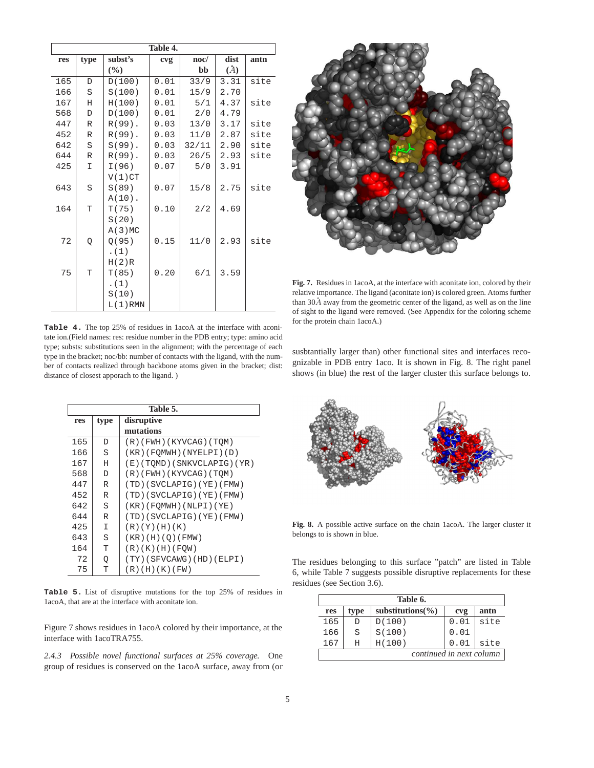| Table 4. |             |               |      |             |      |      |  |
|----------|-------------|---------------|------|-------------|------|------|--|
| res      | type        | subst's       | cvg  | $\bf{noc}/$ | dist | antn |  |
|          |             | $\frac{6}{2}$ |      | bb          | (A)  |      |  |
| 165      | $\mathbb D$ | D(100)        | 0.01 | 33/9        | 3.31 | site |  |
| 166      | S           | S(100)        | 0.01 | 15/9        | 2.70 |      |  |
| 167      | Η           | H(100)        | 0.01 | 5/1         | 4.37 | site |  |
| 568      | $\mathbb D$ | D(100)        | 0.01 | 2/0         | 4.79 |      |  |
| 447      | $\mathbb R$ | $R(99)$ .     | 0.03 | 13/0        | 3.17 | site |  |
| 452      | R           | $R(99)$ .     | 0.03 | 11/0        | 2.87 | site |  |
| 642      | S           | $S(99)$ .     | 0.03 | 32/11       | 2.90 | site |  |
| 644      | R           | $R(99)$ .     | 0.03 | 26/5        | 2.93 | site |  |
| 425      | I           | I(96)         | 0.07 | 5/0         | 3.91 |      |  |
|          |             | V(1)CT        |      |             |      |      |  |
| 643      | S           | S(89)         | 0.07 | 15/8        | 2.75 | site |  |
|          |             | $A(10)$ .     |      |             |      |      |  |
| 164      | T           | T(75)         | 0.10 | 2/2         | 4.69 |      |  |
|          |             | S(20)         |      |             |      |      |  |
|          |             | A(3)MC        |      |             |      |      |  |
| 72       | Q           | Q(95)         | 0.15 | 11/0        | 2.93 | site |  |
|          |             | (1)           |      |             |      |      |  |
|          |             | H(2)R         |      |             |      |      |  |
| 75       | T           | T(85)         | 0.20 | 6/1         | 3.59 |      |  |
|          |             | . $(1)$       |      |             |      |      |  |
|          |             | S(10)         |      |             |      |      |  |
|          |             | $L(1)$ RMN    |      |             |      |      |  |

**Table 4.** The top 25% of residues in 1acoA at the interface with aconitate ion.(Field names: res: residue number in the PDB entry; type: amino acid type; substs: substitutions seen in the alignment; with the percentage of each type in the bracket; noc/bb: number of contacts with the ligand, with the number of contacts realized through backbone atoms given in the bracket; dist: distance of closest apporach to the ligand. )

| Table 5. |      |                             |  |  |  |  |
|----------|------|-----------------------------|--|--|--|--|
| res      | type | disruptive                  |  |  |  |  |
|          |      | mutations                   |  |  |  |  |
| 165      | D    | (R)(FWH)(KYVCAG)(TQM)       |  |  |  |  |
| 166      | S    | $(KR)$ (FOMWH) (NYELPI) (D) |  |  |  |  |
| 167      | Η    | (E)(TOMD)(SNKVCLAPIG)(YR)   |  |  |  |  |
| 568      | D    | $(R)$ (FWH) (KYVCAG) (TQM)  |  |  |  |  |
| 447      | R    | (TD)(SVCLAPIG)(YE)(FMW)     |  |  |  |  |
| 452      | R    | (TD)(SVCLAPIG)(YE)(FMW)     |  |  |  |  |
| 642      | S    | $(KR)$ (FOMWH) (NLPI) (YE)  |  |  |  |  |
| 644      | R    | (TD) (SVCLAPIG) (YE) (FMW)  |  |  |  |  |
| 425      | I    | (R)(Y)(H)(K)                |  |  |  |  |
| 643      | S    | (KR) (H) (Q) (FMW)          |  |  |  |  |
| 164      | T    | (R)(K)(H)(FQW)              |  |  |  |  |
| 72       | Q    | (TY)(SFVCAWG)(HD)(ELPI)     |  |  |  |  |
| 75       | T    | (R) (H) (K) (FW)            |  |  |  |  |

**Table 5.** List of disruptive mutations for the top 25% of residues in 1acoA, that are at the interface with aconitate ion.

Figure 7 shows residues in 1acoA colored by their importance, at the interface with 1acoTRA755.

*2.4.3 Possible novel functional surfaces at 25% coverage.* One group of residues is conserved on the 1acoA surface, away from (or



**Fig. 7.** Residues in 1acoA, at the interface with aconitate ion, colored by their relative importance. The ligand (aconitate ion) is colored green. Atoms further than  $30\AA$  away from the geometric center of the ligand, as well as on the line of sight to the ligand were removed. (See Appendix for the coloring scheme for the protein chain 1acoA.)

susbtantially larger than) other functional sites and interfaces recognizable in PDB entry 1aco. It is shown in Fig. 8. The right panel shows (in blue) the rest of the larger cluster this surface belongs to.



**Fig. 8.** A possible active surface on the chain 1acoA. The larger cluster it belongs to is shown in blue.

The residues belonging to this surface "patch" are listed in Table 6, while Table 7 suggests possible disruptive replacements for these residues (see Section 3.6).

| Table 6.                 |      |                       |      |      |  |  |  |
|--------------------------|------|-----------------------|------|------|--|--|--|
| res                      | type | substitutions( $\%$ ) | cvg  | antn |  |  |  |
| 165                      | D    | D(100)                | 0.01 | site |  |  |  |
| 166                      | S    | S(100)                | 0.01 |      |  |  |  |
| 167                      | Η    | H(100)                | 0.01 | site |  |  |  |
| continued in next column |      |                       |      |      |  |  |  |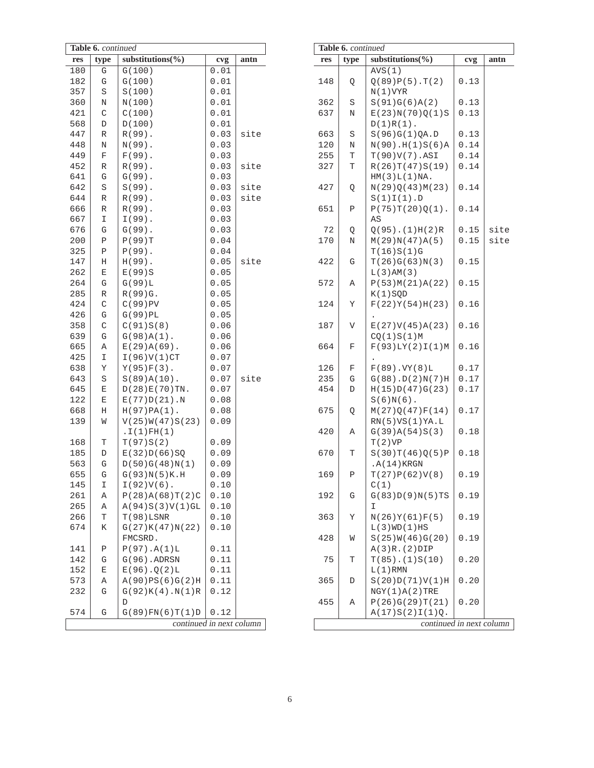|     | Table 6. continued |                          |      |      |  |  |  |  |
|-----|--------------------|--------------------------|------|------|--|--|--|--|
| res | type               | substitutions( $\%$ )    | cvg  | antn |  |  |  |  |
| 180 | G                  | G(100)                   | 0.01 |      |  |  |  |  |
| 182 | G                  | G(100)                   | 0.01 |      |  |  |  |  |
| 357 | S                  | S(100)                   | 0.01 |      |  |  |  |  |
| 360 | Ν                  | N(100)                   | 0.01 |      |  |  |  |  |
| 421 | С                  | C(100)                   | 0.01 |      |  |  |  |  |
| 568 | D                  | D(100)                   | 0.01 |      |  |  |  |  |
| 447 | R                  | $R(99)$ .                | 0.03 | site |  |  |  |  |
| 448 | Ν                  | $N(99)$ .                | 0.03 |      |  |  |  |  |
| 449 | F                  | $F(99)$ .                | 0.03 |      |  |  |  |  |
| 452 | R                  | $R(99)$ .                | 0.03 | site |  |  |  |  |
| 641 | G                  | $G(99)$ .                | 0.03 |      |  |  |  |  |
| 642 | S                  | $S(99)$ .                | 0.03 | site |  |  |  |  |
| 644 | R                  | R(99).                   | 0.03 | site |  |  |  |  |
| 666 | R                  | R(99).                   | 0.03 |      |  |  |  |  |
| 667 | Ι                  | $I(99)$ .                | 0.03 |      |  |  |  |  |
| 676 | G                  | $G(99)$ .                | 0.03 |      |  |  |  |  |
| 200 | Ρ                  | P(99)T                   | 0.04 |      |  |  |  |  |
| 325 | Ρ                  | $P(99)$ .                | 0.04 |      |  |  |  |  |
| 147 | Η                  | $H(99)$ .                | 0.05 | site |  |  |  |  |
| 262 | Ε                  | E(99)S                   | 0.05 |      |  |  |  |  |
| 264 | G                  | G(99)L                   | 0.05 |      |  |  |  |  |
| 285 | R                  | R(99)G.                  | 0.05 |      |  |  |  |  |
| 424 | С                  | $C(99)$ PV               | 0.05 |      |  |  |  |  |
| 426 | G                  | $G(99)$ PL               | 0.05 |      |  |  |  |  |
| 358 | $\mathsf C$        | C(91)S(8)                | 0.06 |      |  |  |  |  |
| 639 | G                  | $G(98)A(1)$ .            | 0.06 |      |  |  |  |  |
| 665 | Α                  | $E(29)A(69)$ .           | 0.06 |      |  |  |  |  |
| 425 | Ι                  | I(96)V(1)CT              | 0.07 |      |  |  |  |  |
| 638 | Υ                  | $Y(95)F(3)$ .            | 0.07 |      |  |  |  |  |
| 643 | S                  | $S(89)A(10)$ .           | 0.07 | site |  |  |  |  |
| 645 | Ε                  | $D(28)E(70)TN$ .         | 0.07 |      |  |  |  |  |
| 122 | Ε                  | E(77)D(21).N             | 0.08 |      |  |  |  |  |
| 668 | Η                  | $H(97)PA(1)$ .           | 0.08 |      |  |  |  |  |
| 139 | W                  | V(25)W(47)S(23)          | 0.09 |      |  |  |  |  |
|     |                    | .I(1)FH(1)               |      |      |  |  |  |  |
| 168 | T                  | T(97)S(2)                | 0.09 |      |  |  |  |  |
| 185 | D                  | E(32)D(66)SQ             | 0.09 |      |  |  |  |  |
| 563 | G                  | D(50)G(48)N(1)           | 0.09 |      |  |  |  |  |
| 655 | G                  | G(93)N(5)K.H             | 0.09 |      |  |  |  |  |
| 145 | Ι                  | $I(92)V(6)$ .            | 0.10 |      |  |  |  |  |
| 261 | Α                  | P(28)A(68)T(2)C          | 0.10 |      |  |  |  |  |
| 265 | Α                  | A(94)S(3)V(1)GL          | 0.10 |      |  |  |  |  |
| 266 | Т                  | $T(98)$ LSNR             | 0.10 |      |  |  |  |  |
| 674 | Κ                  | G(27)K(47)N(22)          | 0.10 |      |  |  |  |  |
|     |                    | FMCSRD.                  |      |      |  |  |  |  |
| 141 | Ρ                  | P(97) . A(1) L           | 0.11 |      |  |  |  |  |
| 142 | G                  | $G(96)$ . ADRSN          | 0.11 |      |  |  |  |  |
| 152 | Ε                  | E(96) . Q(2) L           | 0.11 |      |  |  |  |  |
| 573 | Α                  | A(90)PS(6)G(2)H          | 0.11 |      |  |  |  |  |
| 232 | G                  | $G(92)K(4)$ . $N(1)R$    | 0.12 |      |  |  |  |  |
|     |                    | D                        |      |      |  |  |  |  |
| 574 | G                  | $G(89)$ FN(6) T(1) D     | 0.12 |      |  |  |  |  |
|     |                    | continued in next column |      |      |  |  |  |  |

| Table 6. continued       |      |                                  |      |      |  |  |
|--------------------------|------|----------------------------------|------|------|--|--|
| res                      | type | substitutions( $\%$ )            | cvg  | antn |  |  |
|                          |      | AVS(1)                           |      |      |  |  |
| 148                      | Q    | $Q(89)P(5)$ . T(2)               | 0.13 |      |  |  |
|                          |      | N(1) VYR                         |      |      |  |  |
| 362                      | S    | S(91)G(6)A(2)                    | 0.13 |      |  |  |
| 637                      | Ν    | E(23)N(70)Q(1)S                  | 0.13 |      |  |  |
|                          |      | $D(1)R(1)$ .                     |      |      |  |  |
| 663                      | S    | S(96)G(1)QA.D                    | 0.13 |      |  |  |
| 120                      | Ν    | $N(90)$ . $H(1)S(6)A$            | 0.14 |      |  |  |
| 255                      | Т    | $T(90)V(7)$ . ASI                | 0.14 |      |  |  |
| 327                      | Т    | R(26)T(47)S(19)                  | 0.14 |      |  |  |
|                          |      | HM(3)L(1)NA.                     |      |      |  |  |
| 427                      | Q    | N(29)Q(43)M(23)<br>$S(1)I(1)$ .D | 0.14 |      |  |  |
| 651                      | Ρ    | $P(75)T(20)Q(1)$ .               | 0.14 |      |  |  |
|                          |      | AS                               |      |      |  |  |
| 72                       | Q    | $Q(95)$ . $(1)$ H $(2)$ R        | 0.15 | site |  |  |
| 170                      | Ν    | M(29)N(47)A(5)                   | 0.15 | site |  |  |
|                          |      | T(16)S(1)G                       |      |      |  |  |
| 422                      | G    | T(26)G(63)N(3)                   | 0.15 |      |  |  |
|                          |      | L(3)AM(3)                        |      |      |  |  |
| 572                      | Α    | P(53)M(21)A(22)                  | 0.15 |      |  |  |
|                          |      | $K(1)$ SQD                       |      |      |  |  |
| 124                      | Υ    | F(22)Y(54)H(23)                  | 0.16 |      |  |  |
|                          |      |                                  |      |      |  |  |
| 187                      | V    | E(27)V(45)A(23)                  | 0.16 |      |  |  |
|                          |      | CQ(1)S(1)M                       |      |      |  |  |
| 664                      | F    | F(93)LY(2)I(1)M                  | 0.16 |      |  |  |
| 126                      | F    | F(89) . VY(8) L                  | 0.17 |      |  |  |
| 235                      | G    | $G(88)$ . $D(2)N(7)H$            | 0.17 |      |  |  |
| 454                      | D    | H(15)D(47)G(23)                  | 0.17 |      |  |  |
|                          |      | $S(6)N(6)$ .                     |      |      |  |  |
| 675                      | Q    | M(27)Q(47)F(14)                  | 0.17 |      |  |  |
|                          |      | RN(5)VS(1)YA.L                   |      |      |  |  |
| 420                      | Α    | G(39)A(54)S(3)                   | 0.18 |      |  |  |
|                          |      | T(2)VP                           |      |      |  |  |
| 670                      | Т    | S(30)T(46)Q(5)P                  | 0.18 |      |  |  |
|                          |      | $.A(14)$ KRGN                    |      |      |  |  |
| 169                      | Ρ    | T(27)P(62)V(8)                   | 0.19 |      |  |  |
|                          |      | C(1)                             |      |      |  |  |
| 192                      | G    | G(83)D(9)N(5)TS<br>I             | 0.19 |      |  |  |
| 363                      | Υ    | N(26)Y(61)F(5)                   | 0.19 |      |  |  |
|                          |      | L(3)WD(1)HS                      |      |      |  |  |
| 428                      | M    | S(25)W(46)G(20)                  | 0.19 |      |  |  |
|                          |      | A(3)R.(2)DIP                     |      |      |  |  |
| 75                       | Т    | $T(85)$ . $(1)S(10)$             | 0.20 |      |  |  |
|                          |      | $L(1)$ RMN                       |      |      |  |  |
| 365                      | D    | S(20)D(71)V(1)H                  | 0.20 |      |  |  |
|                          |      | $NGY(1)A(2)$ TRE                 |      |      |  |  |
| 455                      | Α    | P(26)G(29)T(21)                  | 0.20 |      |  |  |
|                          |      | A(17)S(2)I(1)Q.                  |      |      |  |  |
| continued in next column |      |                                  |      |      |  |  |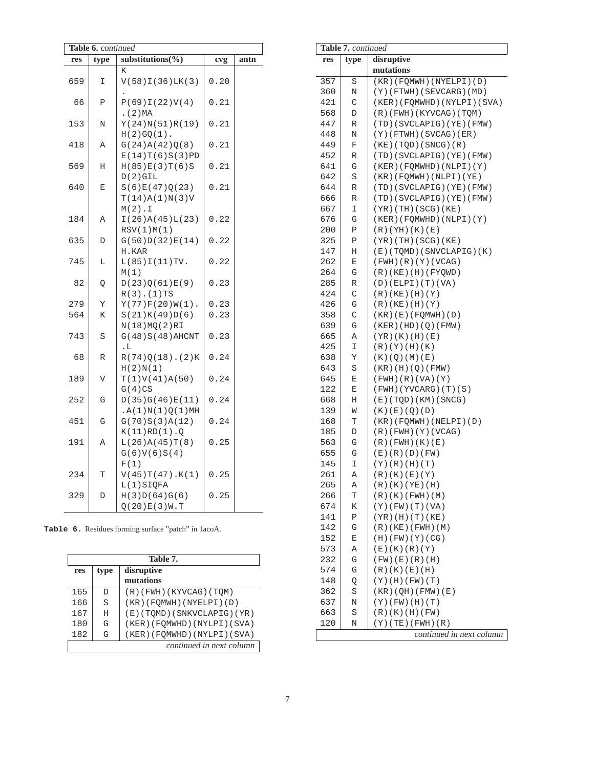| Table 6. continued |      |                              |      |      |  |
|--------------------|------|------------------------------|------|------|--|
| res                | type | substitutions $\binom{0}{0}$ | cvg  | antn |  |
|                    |      | K                            |      |      |  |
| 659                | I    | V(58)I(36)LK(3)              | 0.20 |      |  |
|                    |      |                              |      |      |  |
| 66                 | Ρ    | P(69)I(22)V(4)               | 0.21 |      |  |
|                    |      | . $(2)MA$                    |      |      |  |
| 153                | N    | Y(24)N(51)R(19)              | 0.21 |      |  |
|                    |      | $H(2)GQ(1)$ .                |      |      |  |
| 418                | Α    | G(24)A(42)Q(8)               | 0.21 |      |  |
|                    |      | E(14)T(6)S(3)PD              |      |      |  |
| 569                | Η    | H(85)E(3)T(6)S               | 0.21 |      |  |
|                    |      | D(2)GIL                      |      |      |  |
| 640                | E    | S(6)E(47)Q(23)               | 0.21 |      |  |
|                    |      | T(14)A(1)N(3)V               |      |      |  |
|                    |      | $M(2)$ . I                   |      |      |  |
| 184                | Α    | I(26)A(45)L(23)              | 0.22 |      |  |
|                    |      | RSV(1)M(1)                   |      |      |  |
| 635                | D    | G(50)D(32)E(14)              | 0.22 |      |  |
|                    |      | H.KAR                        |      |      |  |
| 745                | Г    | L(85)I(11)TV.                | 0.22 |      |  |
| 82                 |      | M(1)<br>D(23)Q(61)E(9)       | 0.23 |      |  |
|                    | Q    | $R(3)$ . $(1)$ TS            |      |      |  |
| 279                | Υ    | $Y(77)F(20)W(1)$ .           | 0.23 |      |  |
| 564                | К    | S(21)K(49)D(6)               | 0.23 |      |  |
|                    |      | N(18)MO(2)RI                 |      |      |  |
| 743                | S    | $G(48)S(48)A$ HCNT           | 0.23 |      |  |
|                    |      | . $\mathbb L$                |      |      |  |
| 68                 | R    | $R(74)Q(18)$ . (2)K          | 0.24 |      |  |
|                    |      | H(2)N(1)                     |      |      |  |
| 189                | V    | T(1)V(41)A(50)               | 0.24 |      |  |
|                    |      | G(4)CS                       |      |      |  |
| 252                | G    | D(35)G(46)E(11)              | 0.24 |      |  |
|                    |      | .A(1)N(1)Q(1)MH              |      |      |  |
| 451                | G    | G(70)S(3)A(12)               | 0.24 |      |  |
|                    |      | K(11)RD(1).Q                 |      |      |  |
| 191                | Α    | L(26)A(45)T(8)               | 0.25 |      |  |
|                    |      | G(6)V(6)S(4)                 |      |      |  |
|                    |      | F(1)                         |      |      |  |
| 234                | Т    | $V(45)T(47)$ .K(1)           | 0.25 |      |  |
|                    |      | $L(1)$ SIQFA                 |      |      |  |
| 329                | D    | H(3)D(64)G(6)                | 0.25 |      |  |
|                    |      | Q(20)E(3)W.T                 |      |      |  |

**Table 6.** Residues forming surface "patch" in 1acoA.

| Table 7. |      |                              |  |  |
|----------|------|------------------------------|--|--|
| res      | type | disruptive                   |  |  |
|          |      | mutations                    |  |  |
| 165      | D    | $(R)$ (FWH) (KYVCAG) (TOM)   |  |  |
| 166      | S    | $(KR)$ (FOMWH) (NYELPI) (D)  |  |  |
| 167      | H    | (E)(TOMD)(SNKVCLAPIG)(YR)    |  |  |
| 180      | G    | (KER) (FOMWHD) (NYLPI) (SVA) |  |  |
| 182      | G    | (KER) (FOMWHD) (NYLPI) (SVA) |  |  |
|          |      | continued in next column     |  |  |

|                          | Table 7. continued |                                        |  |
|--------------------------|--------------------|----------------------------------------|--|
| res                      | type               | disruptive                             |  |
|                          |                    | mutations                              |  |
| 357                      | S                  | $(KR)$ (FQMWH) (NYELPI) (D)            |  |
| 360                      | Ν                  | (Y)(FTWH)(SEVCARG)(MD)                 |  |
| 421                      | С                  | (KER) (FQMWHD) (NYLPI) (SVA)           |  |
| 568                      | D                  | (R)(FWH)(KYVCAG)(TQM)                  |  |
| 447                      | R                  | (TD)(SVCLAPIG)(YE)(FMW)                |  |
| 448                      | Ν                  | $(Y)$ (FTWH) (SVCAG) (ER)              |  |
| 449                      | F                  | (KE) (TQD) (SNCG) (R)                  |  |
| 452                      | R                  | (TD)(SVCLAPIG)(YE)(FMW)                |  |
| 641                      | G                  | (KER)(FQMWHD)(NLPI)(Y)                 |  |
| 642                      | S                  | (KR)(FQMWH)(NLPI)(YE)                  |  |
| 644                      | R                  | (TD)(SVCLAPIG)(YE)(FMW)                |  |
| 666                      | R                  | (TD)(SVCLAPIG)(YE)(FMW)                |  |
| 667                      | I                  | (YR)(TH)(SCG)(KE)                      |  |
| 676                      | G                  | (KER)(FQMWHD)(NLPI)(Y)                 |  |
| 200<br>325               | Ρ<br>Ρ             | (R) (YH) (K) (E)<br>(YR)(TH)(SCG)(KE)  |  |
| 147                      | Η                  | $(E)$ (TQMD) (SNVCLAPIG) $(K)$         |  |
| 262                      | Ε                  | (FWH)(R)(Y)(VCAG)                      |  |
| 264                      | G                  | $(R)$ (KE) $(H)$ (FYQWD)               |  |
| 285                      | R                  | $(D)$ (ELPI) $(T)$ (VA)                |  |
| 424                      | С                  | (R)(KE)(H)(Y)                          |  |
| 426                      | G                  | (R)(KE)(H)(Y)                          |  |
| 358                      | C                  | (KR) (E) (FQMWH) (D)                   |  |
| 639                      | G                  | (KER)(HD)(Q)(FMW)                      |  |
| 665                      | Α                  | (YR)(K)(H)(E)                          |  |
| 425                      | I                  | (R)(Y)(H)(K)                           |  |
| 638                      | Υ                  | (K)(Q)(M)(E)                           |  |
| 643                      | S                  | (KR)(H)(Q)(FMW)                        |  |
| 645                      | Ε                  | (FWH)(R)(VA)(Y)                        |  |
| 122                      | Ε                  | (FWH) (YVCARG) (T) (S)                 |  |
| 668                      | Η                  | (E)(TQD)(KM)(SNCG)                     |  |
| 139                      | W                  | (K)(E)(Q)(D)                           |  |
| 168                      | T                  | (KR)(FQMWH)(NELPI)(D)                  |  |
| 185                      | D                  | (R)(FWH)(Y)(VCAG)                      |  |
| 563<br>655               | G<br>G             | $(R)$ (FWH) $(K)$ (E)<br>(E)(R)(D)(FW) |  |
| 145                      | Ι                  | (Y) (R) (H) (T)                        |  |
| 261                      | Α                  | (R)(K)(E)(Y)                           |  |
| 265                      | Α                  | (R)(K)(YE)(H)                          |  |
| 266                      | Т                  | (R)(K)(FWH)(M)                         |  |
| 674                      | K                  | $(Y)$ (FW) $(T)$ (VA)                  |  |
| 141                      | Ρ                  | (YR)(H)(T)(KE)                         |  |
| 142                      | G                  | $(R)$ (KE) (FWH) (M)                   |  |
| 152                      | Ε                  | $(H)$ (FW) $(Y)$ (CG)                  |  |
| 573                      | Α                  | (E)(K)(R)(Y)                           |  |
| 232                      | G                  | (FW)(E)(R)(H)                          |  |
| 574                      | G                  | (R)(K)(E)(H)                           |  |
| 148                      | Q                  | (Y) (H) (FW) (T)                       |  |
| 362                      | S                  | (KR) (QH) (FMW) (E)                    |  |
| 637                      | Ν                  | $(Y)$ (FW) (H) (T)                     |  |
| 663                      | S                  | (R)(K)(H)(FW)                          |  |
| 120                      | Ν                  | $(Y)$ (TE) (FWH) (R)                   |  |
| continued in next column |                    |                                        |  |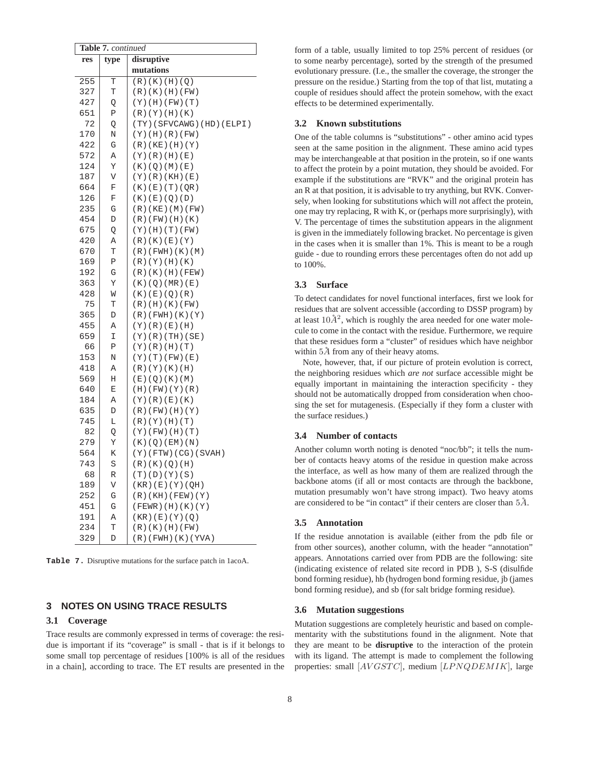| Table 7. continued |        |                               |
|--------------------|--------|-------------------------------|
| res                | type   | disruptive                    |
|                    |        | mutations                     |
| 255                | Т      | (R)(K)(H)(Q)                  |
| 327                | Т      | (R)(K)(H)(FW)                 |
| 427                | Q      | $(Y)$ (H) (FW) (T)            |
| 651                | Ρ      | (R)(Y)(H)(K)                  |
| 72                 | Q      | (TY)(SFVCAWG)(HD)(ELPI)       |
| 170                | Ν      | (Y) (H) (R) (FW)              |
| 422                | G      | $(R)$ (KE) (H) (Y)            |
| 572                | Α      | $(Y)$ $(R)$ $(H)$ $(E)$       |
| 124                | Υ      | (K) (Q) (M) (E)               |
| 187                | V      | (Y)(R)(KH)(E)                 |
| 664                | F      | (K)(E)(T)(QR)                 |
| 126                | F      | (K)(E)(Q)(D)                  |
| 235                | G      | $(R)$ (KE) (M) (FW)           |
| 454                | D      | $(R)$ (FW) (H) (K)            |
| 675                | Q      | $(Y)$ (H) (T) (FW)            |
| 420                | Α      | (R)(K)(E)(Y)                  |
| 670                | Т      | $(R)$ (FWH) $(K)$ (M)         |
| 169                | Ρ      | (R)(Y)(H)(K)                  |
| 192<br>363         | G<br>Υ | (R)(K)(H)(FEW)                |
| 428                | W      | (K)(Q)(MR)(E)<br>(K)(E)(Q)(R) |
| 75                 | Т      | $(R)$ (H) $(K)$ (FW)          |
| 365                | D      | $(R)$ (FWH) $(K)$ (Y)         |
| 455                | Α      | (Y)(R)(E)(H)                  |
| 659                | Ι      | (Y)(R)(TH)(SE)                |
| 66                 | Ρ      | (Y)(R)(H)(T)                  |
| 153                | Ν      | (Y)(T)(FW)(E)                 |
| 418                | Α      | (R)(Y)(K)(H)                  |
| 569                | Η      | (E)(Q)(K)(M)                  |
| 640                | Ε      | (H)(FW)(Y)(R)                 |
| 184                | Α      | $(Y)$ $(R)$ $(E)$ $(K)$       |
| 635                | D      | $(R)$ (FW) (H) (Y)            |
| 745                | L      | (R)(Y)(H)(T)                  |
| 82                 | Q      | (Y) (FW) (H) (T)              |
| 279                | Υ      | (K)(Q)(EM)(N)                 |
| 564                | Κ      | $(Y)$ (FTW) (CG) (SVAH)       |
| 743                | S      | (R)(K)(Q)(H)                  |
| 68                 | R      | (T)(D)(Y)(S)                  |
| 189                | V      | (KR)(E)(Y)(QH)                |
| 252                | G      | $(R)$ (KH) (FEW) (Y)          |
| 451                | G      | (FEWR) (H) (K) (Y)            |
| 191                | Α      | (KR)(E)(Y)(Q)                 |
| 234                | Т      | (R)(K)(H)(FW)                 |
| 329                | D      | $(R)$ (FWH) $(K)$ (YVA)       |

**Table 7.** Disruptive mutations for the surface patch in 1acoA.

# **3 NOTES ON USING TRACE RESULTS**

#### **3.1 Coverage**

Trace results are commonly expressed in terms of coverage: the residue is important if its "coverage" is small - that is if it belongs to some small top percentage of residues [100% is all of the residues in a chain], according to trace. The ET results are presented in the form of a table, usually limited to top 25% percent of residues (or to some nearby percentage), sorted by the strength of the presumed evolutionary pressure. (I.e., the smaller the coverage, the stronger the pressure on the residue.) Starting from the top of that list, mutating a couple of residues should affect the protein somehow, with the exact effects to be determined experimentally.

#### **3.2 Known substitutions**

One of the table columns is "substitutions" - other amino acid types seen at the same position in the alignment. These amino acid types may be interchangeable at that position in the protein, so if one wants to affect the protein by a point mutation, they should be avoided. For example if the substitutions are "RVK" and the original protein has an R at that position, it is advisable to try anything, but RVK. Conversely, when looking for substitutions which will *n*ot affect the protein, one may try replacing, R with K, or (perhaps more surprisingly), with V. The percentage of times the substitution appears in the alignment is given in the immediately following bracket. No percentage is given in the cases when it is smaller than 1%. This is meant to be a rough guide - due to rounding errors these percentages often do not add up to 100%.

#### **3.3 Surface**

To detect candidates for novel functional interfaces, first we look for residues that are solvent accessible (according to DSSP program) by at least  $10\AA^2$ , which is roughly the area needed for one water molecule to come in the contact with the residue. Furthermore, we require that these residues form a "cluster" of residues which have neighbor within  $5\AA$  from any of their heavy atoms.

Note, however, that, if our picture of protein evolution is correct, the neighboring residues which *are not* surface accessible might be equally important in maintaining the interaction specificity - they should not be automatically dropped from consideration when choosing the set for mutagenesis. (Especially if they form a cluster with the surface residues.)

#### **3.4 Number of contacts**

Another column worth noting is denoted "noc/bb"; it tells the number of contacts heavy atoms of the residue in question make across the interface, as well as how many of them are realized through the backbone atoms (if all or most contacts are through the backbone, mutation presumably won't have strong impact). Two heavy atoms are considered to be "in contact" if their centers are closer than  $5\AA$ .

#### **3.5 Annotation**

If the residue annotation is available (either from the pdb file or from other sources), another column, with the header "annotation" appears. Annotations carried over from PDB are the following: site (indicating existence of related site record in PDB ), S-S (disulfide bond forming residue), hb (hydrogen bond forming residue, jb (james bond forming residue), and sb (for salt bridge forming residue).

#### **3.6 Mutation suggestions**

Mutation suggestions are completely heuristic and based on complementarity with the substitutions found in the alignment. Note that they are meant to be **disruptive** to the interaction of the protein with its ligand. The attempt is made to complement the following properties: small [AVGSTC], medium [LPNQDEMIK], large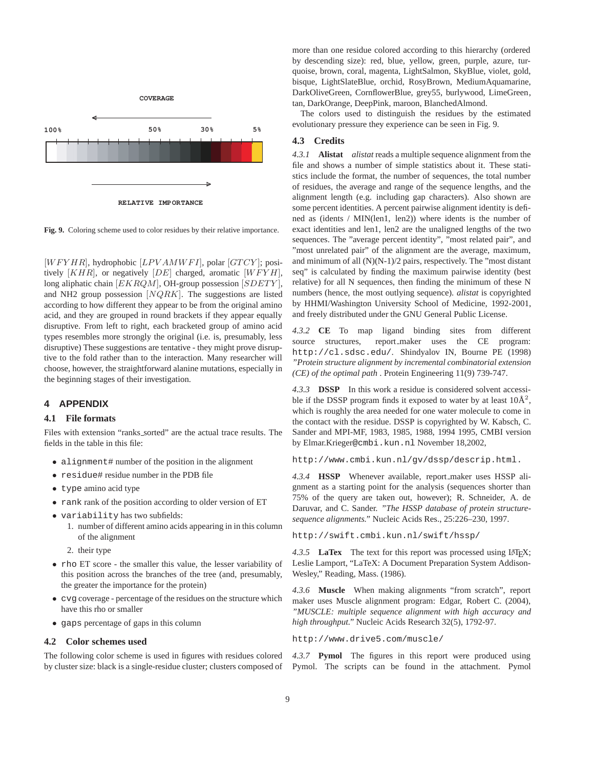

**Fig. 9.** Coloring scheme used to color residues by their relative importance.

 $[WFYHR]$ , hydrophobic  $[LPVAMWFI]$ , polar  $[GTCY]$ ; positively  $[KHR]$ , or negatively  $[DE]$  charged, aromatic  $[WFYH]$ , long aliphatic chain  $[EKRQM]$ , OH-group possession  $[SDETY]$ , and NH2 group possession  $[NQRK]$ . The suggestions are listed according to how different they appear to be from the original amino acid, and they are grouped in round brackets if they appear equally disruptive. From left to right, each bracketed group of amino acid types resembles more strongly the original (i.e. is, presumably, less disruptive) These suggestions are tentative - they might prove disruptive to the fold rather than to the interaction. Many researcher will choose, however, the straightforward alanine mutations, especially in the beginning stages of their investigation.

#### **4 APPENDIX**

#### **4.1 File formats**

Files with extension "ranks sorted" are the actual trace results. The fields in the table in this file:

- alignment# number of the position in the alignment
- residue# residue number in the PDB file
- type amino acid type
- rank rank of the position according to older version of ET
- variability has two subfields:
	- 1. number of different amino acids appearing in in this column of the alignment
	- 2. their type
- rho ET score the smaller this value, the lesser variability of this position across the branches of the tree (and, presumably, the greater the importance for the protein)
- cvg coverage percentage of the residues on the structure which have this rho or smaller
- gaps percentage of gaps in this column

#### **4.2 Color schemes used**

The following color scheme is used in figures with residues colored by cluster size: black is a single-residue cluster; clusters composed of

more than one residue colored according to this hierarchy (ordered by descending size): red, blue, yellow, green, purple, azure, turquoise, brown, coral, magenta, LightSalmon, SkyBlue, violet, gold, bisque, LightSlateBlue, orchid, RosyBrown, MediumAquamarine, DarkOliveGreen, CornflowerBlue, grey55, burlywood, LimeGreen, tan, DarkOrange, DeepPink, maroon, BlanchedAlmond.

The colors used to distinguish the residues by the estimated evolutionary pressure they experience can be seen in Fig. 9.

# **4.3 Credits**

*4.3.1* **Alistat** *alistat* reads a multiple sequence alignment from the file and shows a number of simple statistics about it. These statistics include the format, the number of sequences, the total number of residues, the average and range of the sequence lengths, and the alignment length (e.g. including gap characters). Also shown are some percent identities. A percent pairwise alignment identity is defined as (idents / MIN(len1, len2)) where idents is the number of exact identities and len1, len2 are the unaligned lengths of the two sequences. The "average percent identity", "most related pair", and "most unrelated pair" of the alignment are the average, maximum, and minimum of all (N)(N-1)/2 pairs, respectively. The "most distant seq" is calculated by finding the maximum pairwise identity (best relative) for all N sequences, then finding the minimum of these N numbers (hence, the most outlying sequence). *alistat* is copyrighted by HHMI/Washington University School of Medicine, 1992-2001, and freely distributed under the GNU General Public License.

*4.3.2* **CE** To map ligand binding sites from different source structures, report\_maker uses the CE program: http://cl.sdsc.edu/. Shindyalov IN, Bourne PE (1998) *"Protein structure alignment by incremental combinatorial extension (CE) of the optimal path* . Protein Engineering 11(9) 739-747.

*4.3.3* **DSSP** In this work a residue is considered solvent accessible if the DSSP program finds it exposed to water by at least  $10\text{\AA}^2$ , which is roughly the area needed for one water molecule to come in the contact with the residue. DSSP is copyrighted by W. Kabsch, C. Sander and MPI-MF, 1983, 1985, 1988, 1994 1995, CMBI version by Elmar.Krieger@cmbi.kun.nl November 18,2002,

http://www.cmbi.kun.nl/gv/dssp/descrip.html.

*4.3.4* **HSSP** Whenever available, report maker uses HSSP alignment as a starting point for the analysis (sequences shorter than 75% of the query are taken out, however); R. Schneider, A. de Daruvar, and C. Sander. *"The HSSP database of protein structuresequence alignments."* Nucleic Acids Res., 25:226–230, 1997.

http://swift.cmbi.kun.nl/swift/hssp/

4.3.5 **LaTex** The text for this report was processed using LAT<sub>EX</sub>; Leslie Lamport, "LaTeX: A Document Preparation System Addison-Wesley," Reading, Mass. (1986).

*4.3.6* **Muscle** When making alignments "from scratch", report maker uses Muscle alignment program: Edgar, Robert C. (2004), *"MUSCLE: multiple sequence alignment with high accuracy and high throughput."* Nucleic Acids Research 32(5), 1792-97.

http://www.drive5.com/muscle/

*4.3.7* **Pymol** The figures in this report were produced using Pymol. The scripts can be found in the attachment. Pymol